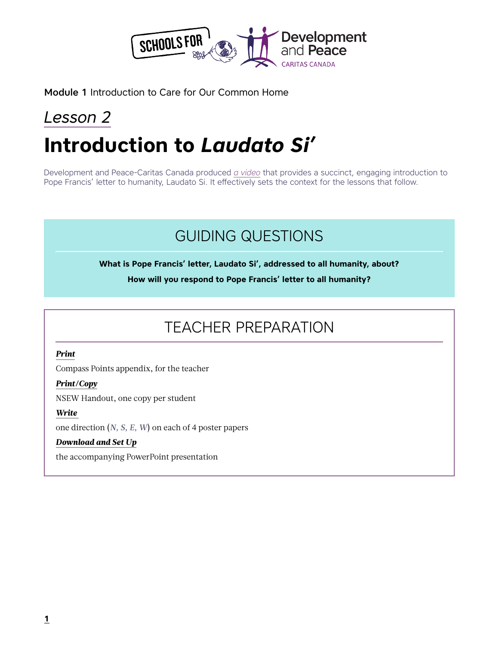

Module 1 Introduction to Care for Our Common Home

# *Lesson 2* **Introduction to** *Laudato Si'*

Development and Peace-Caritas Canada produced *[a video](https://www.devp.org/sites/www.devp.org/files/videos_ctype/devpeace_sharelent2016_laudato_si_kids.mp4)* that provides a succinct, engaging introduction to Pope Francis' letter to humanity, Laudato Si. It effectively sets the context for the lessons that follow.

## GUIDING QUESTIONS

**What is Pope Francis' letter, Laudato Si', addressed to all humanity, about?**

**How will you respond to Pope Francis' letter to all humanity?**

## TEACHER PREPARATION

#### *Print*

Compass Points appendix, for the teacher

#### *Print/Copy*

NSEW Handout, one copy per student

#### *Write*

one direction (*N, S, E, W*) on each of 4 poster papers

#### *Download and Set Up*

the accompanying PowerPoint presentation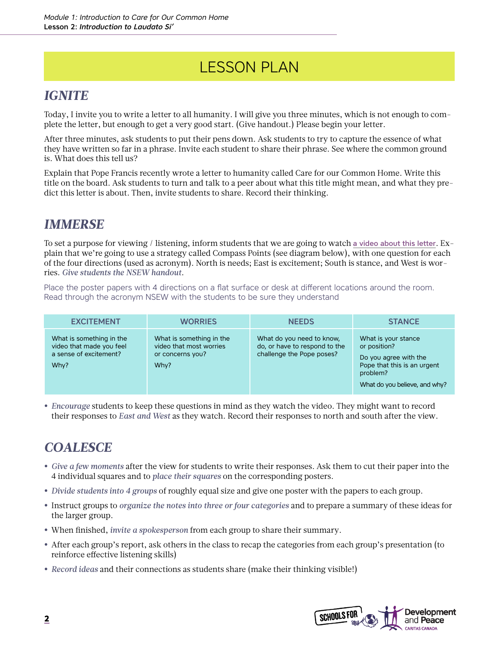## LESSON PLAN

### *IGNITE*

Today, I invite you to write a letter to all humanity. I will give you three minutes, which is not enough to complete the letter, but enough to get a very good start. (Give handout.) Please begin your letter.

After three minutes, ask students to put their pens down. Ask students to try to capture the essence of what they have written so far in a phrase. Invite each student to share their phrase. See where the common ground is. What does this tell us?

Explain that Pope Francis recently wrote a letter to humanity called Care for our Common Home. Write this title on the board. Ask students to turn and talk to a peer about what this title might mean, and what they predict this letter is about. Then, invite students to share. Record their thinking.

### *IMMERSE*

To set a purpose for viewing / listening, inform students that we are going to watch [a video about this letter](https://www.devp.org/sites/www.devp.org/files/videos_ctype/devpeace_sharelent2016_laudato_si_kids.mp4). Explain that we're going to use a strategy called Compass Points (see diagram below), with one question for each of the four directions (used as acronym). North is needs; East is excitement; South is stance, and West is worries. *Give students the NSEW handout*.

Place the poster papers with 4 directions on a flat surface or desk at different locations around the room. Read through the acronym NSEW with the students to be sure they understand

| <b>EXCITEMENT</b>                                                                      | <b>WORRIES</b>                                                                  | <b>NEEDS</b>                                                                            | <b>STANCE</b>                                                                                                                            |
|----------------------------------------------------------------------------------------|---------------------------------------------------------------------------------|-----------------------------------------------------------------------------------------|------------------------------------------------------------------------------------------------------------------------------------------|
| What is something in the<br>video that made you feel<br>a sense of excitement?<br>Why? | What is something in the<br>video that most worries<br>or concerns you?<br>Why? | What do you need to know,<br>do, or have to respond to the<br>challenge the Pope poses? | What is your stance<br>or position?<br>Do you agree with the<br>Pope that this is an urgent<br>problem?<br>What do you believe, and why? |

**•** *Encourage* students to keep these questions in mind as they watch the video. They might want to record their responses to *East and West* as they watch. Record their responses to north and south after the view.

### *COALESCE*

- **•** *Give a few moments* after the view for students to write their responses. Ask them to cut their paper into the 4 individual squares and to *place their squares* on the corresponding posters.
- **•** *Divide students into 4 groups* of roughly equal size and give one poster with the papers to each group.
- **•** Instruct groups to *organize the notes into three or four categories* and to prepare a summary of these ideas for the larger group.
- **•** When finished, *invite a spokesperson* from each group to share their summary.
- **•** After each group's report, ask others in the class to recap the categories from each group's presentation (to reinforce effective listening skills)
- **•** *Record ideas* and their connections as students share (make their thinking visible!)

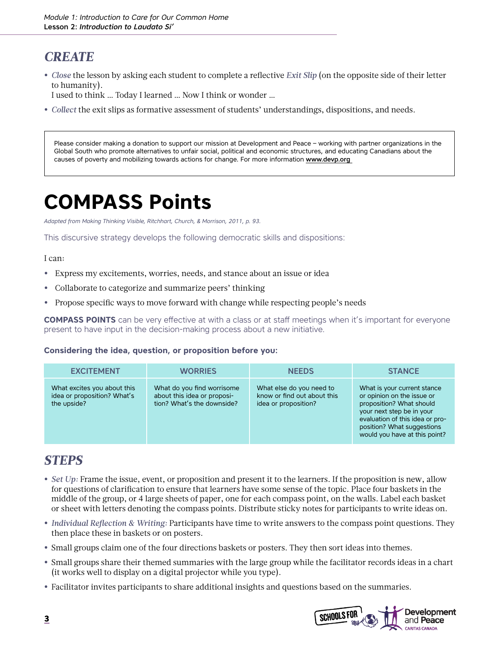### *CREATE*

**•** *Close* the lesson by asking each student to complete a reflective *Exit Slip* (on the opposite side of their letter to humanity).

I used to think … Today I learned … Now I think or wonder …

**•** *Collect* the exit slips as formative assessment of students' understandings, dispositions, and needs.

Please consider making a donation to support our mission at Development and Peace – working with partner organizations in the Global South who promote alternatives to unfair social, political and economic structures, and educating Canadians about the causes of poverty and mobilizing towards actions for change. For more information [www.devp.org](http://www.devp.org ) 

# **COMPASS Points**

*Adapted from Making Thinking Visible, Ritchhart, Church, & Morrison, 2011, p. 93.*

This discursive strategy develops the following democratic skills and dispositions:

#### I can:

- **•** Express my excitements, worries, needs, and stance about an issue or idea
- **•** Collaborate to categorize and summarize peers' thinking
- **•** Propose specific ways to move forward with change while respecting people's needs

**COMPASS POINTS** can be very effective at with a class or at staff meetings when it's important for everyone present to have input in the decision-making process about a new initiative.

#### **Considering the idea, question, or proposition before you:**

| <b>EXCITEMENT</b>                                                         | <b>WORRIES</b>                                                                          | <b>NEEDS</b>                                                                    | <b>STANCE</b>                                                                                                                                                                                                        |
|---------------------------------------------------------------------------|-----------------------------------------------------------------------------------------|---------------------------------------------------------------------------------|----------------------------------------------------------------------------------------------------------------------------------------------------------------------------------------------------------------------|
| What excites you about this<br>idea or proposition? What's<br>the upside? | What do you find worrisome<br>about this idea or proposi-<br>tion? What's the downside? | What else do you need to<br>know or find out about this<br>idea or proposition? | What is your current stance<br>or opinion on the issue or<br>proposition? What should<br>your next step be in your<br>evaluation of this idea or pro-<br>position? What suggestions<br>would you have at this point? |

### *STEPS*

- **•** *Set Up:* Frame the issue, event, or proposition and present it to the learners. If the proposition is new, allow for questions of clarification to ensure that learners have some sense of the topic. Place four baskets in the middle of the group, or 4 large sheets of paper, one for each compass point, on the walls. Label each basket or sheet with letters denoting the compass points. Distribute sticky notes for participants to write ideas on.
- **•** *Individual Reflection & Writing:* Participants have time to write answers to the compass point questions. They then place these in baskets or on posters.
- **•** Small groups claim one of the four directions baskets or posters. They then sort ideas into themes.
- **•** Small groups share their themed summaries with the large group while the facilitator records ideas in a chart (it works well to display on a digital projector while you type).
- **•** Facilitator invites participants to share additional insights and questions based on the summaries.

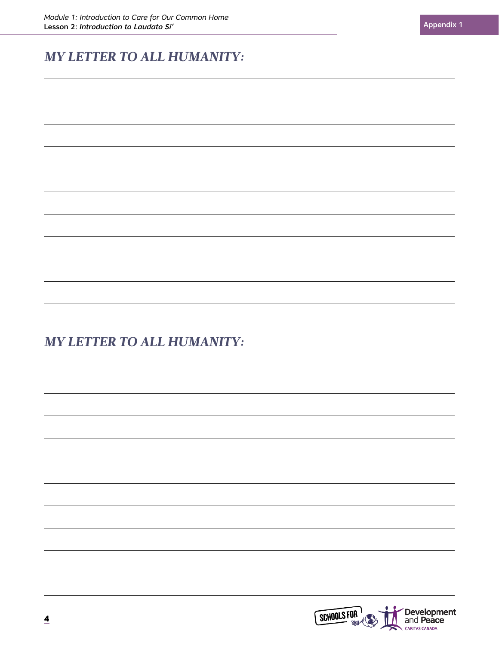### *MY LETTER TO ALL HUMANITY:*

### *MY LETTER TO ALL HUMANITY:*

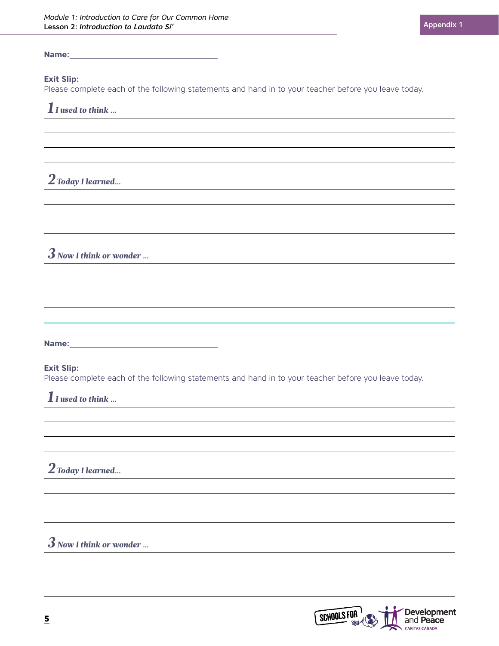#### **Name:**

#### **Exit Slip:**

Please complete each of the following statements and hand in to your teacher before you leave today.

*1 I used to think …*

*2 Today I learned…*

*3 Now I think or wonder …*

**Name:**

#### **Exit Slip:**

Please complete each of the following statements and hand in to your teacher before you leave today.

*1 I used to think …*

*2 Today I learned…*

*3 Now I think or wonder …*